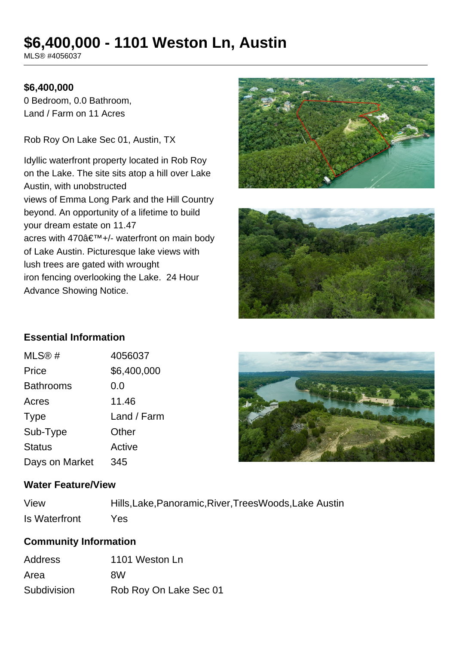# **\$6,400,000 - 1101 Weston Ln, Austin**

MLS® #4056037

## **\$6,400,000**

0 Bedroom, 0.0 Bathroom, Land / Farm on 11 Acres

Rob Roy On Lake Sec 01, Austin, TX

Idyllic waterfront property located in Rob Roy on the Lake. The site sits atop a hill over Lake Austin, with unobstructed views of Emma Long Park and the Hill Country beyond. An opportunity of a lifetime to build your dream estate on 11.47 acres with  $470\hat{a} \in \text{TM}+/-$  waterfront on main body of Lake Austin. Picturesque lake views with lush trees are gated with wrought iron fencing overlooking the Lake. 24 Hour Advance Showing Notice.





# **Essential Information**

| MLS@#            | 4056037     |
|------------------|-------------|
| Price            | \$6,400,000 |
| <b>Bathrooms</b> | 0.0         |
| Acres            | 11.46       |
| <b>Type</b>      | Land / Farm |
| Sub-Type         | Other       |
| <b>Status</b>    | Active      |
| Days on Market   | 345         |



#### **Water Feature/View**

| View                 |  |
|----------------------|--|
| <b>Is Waterfront</b> |  |

Hills,Lake,Panoramic,River,TreesWoods,Lake Austin Yes

# **Community Information**

| <b>Address</b> | 1101 Weston Ln         |
|----------------|------------------------|
| Area           | 8W                     |
| Subdivision    | Rob Roy On Lake Sec 01 |